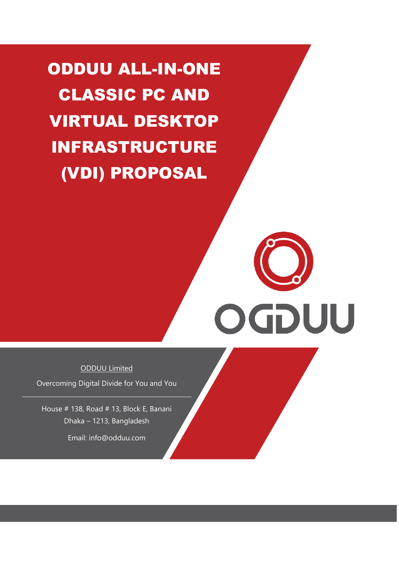ODDUU ALL-IN-ONE CLASSIC PC AND VIRTUAL DESKTOP INFRASTRUCTURE (VDI) PROPOSAL

ODDUU Limited

OGDUU

Overcoming Digital Divide for You and You

House # 138, Road # 13, Block E, Banani Dhaka – 1213, Bangladesh

Email: info@odduu.com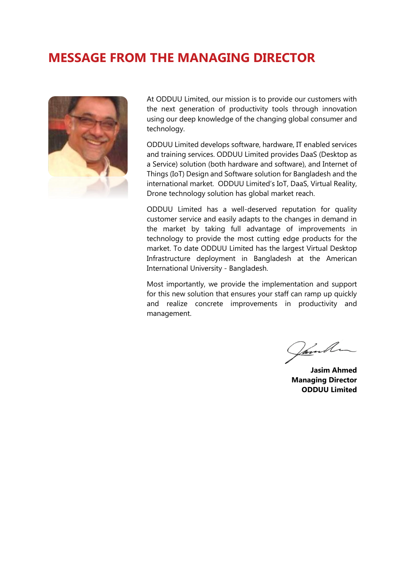# **MESSAGE FROM THE MANAGING DIRECTOR**



At ODDUU Limited, our mission is to provide our customers with the next generation of productivity tools through innovation using our deep knowledge of the changing global consumer and technology.

ODDUU Limited develops software, hardware, IT enabled services and training services. ODDUU Limited provides DaaS (Desktop as a Service) solution (both hardware and software), and Internet of Things (IoT) Design and Software solution for Bangladesh and the international market. ODDUU Limited's IoT, DaaS, Virtual Reality, Drone technology solution has global market reach.

ODDUU Limited has a well-deserved reputation for quality customer service and easily adapts to the changes in demand in the market by taking full advantage of improvements in technology to provide the most cutting edge products for the market. To date ODDUU Limited has the largest Virtual Desktop Infrastructure deployment in Bangladesh at the American International University - Bangladesh.

Most importantly, we provide the implementation and support for this new solution that ensures your staff can ramp up quickly and realize concrete improvements in productivity and management.

Janah

**Jasim Ahmed Managing Director ODDUU Limited**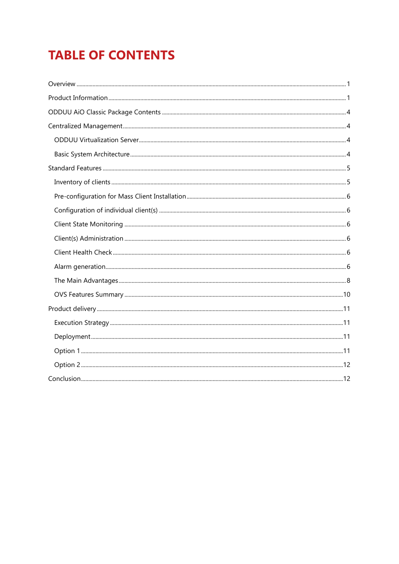# **TABLE OF CONTENTS**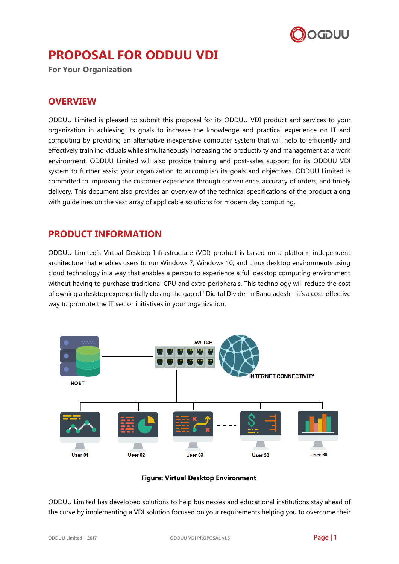

# **PROPOSAL FOR ODDUU VDI**

<span id="page-3-0"></span>**For Your Organization**

# **OVERVIEW**

ODDUU Limited is pleased to submit this proposal for its ODDUU VDI product and services to your organization in achieving its goals to increase the knowledge and practical experience on IT and computing by providing an alternative inexpensive computer system that will help to efficiently and effectively train individuals while simultaneously increasing the productivity and management at a work environment. ODDUU Limited will also provide training and post-sales support for its ODDUU VDI system to further assist your organization to accomplish its goals and objectives. ODDUU Limited is committed to improving the customer experience through convenience, accuracy of orders, and timely delivery. This document also provides an overview of the technical specifications of the product along with guidelines on the vast array of applicable solutions for modern day computing.

# <span id="page-3-1"></span>**PRODUCT INFORMATION**

ODDUU Limited's Virtual Desktop Infrastructure (VDI) product is based on a platform independent architecture that enables users to run Windows 7, Windows 10, and Linux desktop environments using cloud technology in a way that enables a person to experience a full desktop computing environment without having to purchase traditional CPU and extra peripherals. This technology will reduce the cost of owning a desktop exponentially closing the gap of "Digital Divide" in Bangladesh – it's a cost-effective way to promote the IT sector initiatives in your organization.



# **Figure: Virtual Desktop Environment**

ODDUU Limited has developed solutions to help businesses and educational institutions stay ahead of the curve by implementing a VDI solution focused on your requirements helping you to overcome their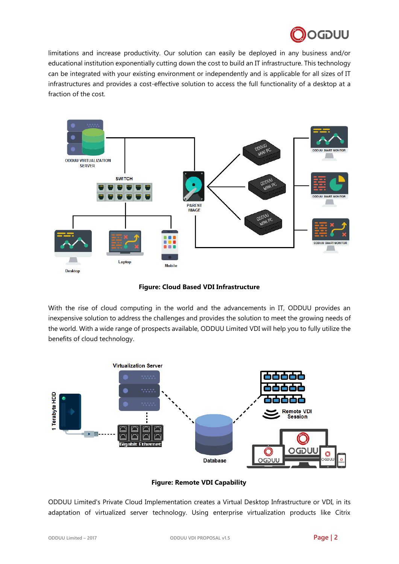

limitations and increase productivity. Our solution can easily be deployed in any business and/or educational institution exponentially cutting down the cost to build an IT infrastructure. This technology can be integrated with your existing environment or independently and is applicable for all sizes of IT infrastructures and provides a cost-effective solution to access the full functionality of a desktop at a fraction of the cost.



**Figure: Cloud Based VDI Infrastructure**

With the rise of cloud computing in the world and the advancements in IT, ODDUU provides an inexpensive solution to address the challenges and provides the solution to meet the growing needs of the world. With a wide range of prospects available, ODDUU Limited VDI will help you to fully utilize the benefits of cloud technology.



**Figure: Remote VDI Capability**

ODDUU Limited's Private Cloud Implementation creates a Virtual Desktop Infrastructure or VDI, in its adaptation of virtualized server technology. Using enterprise virtualization products like Citrix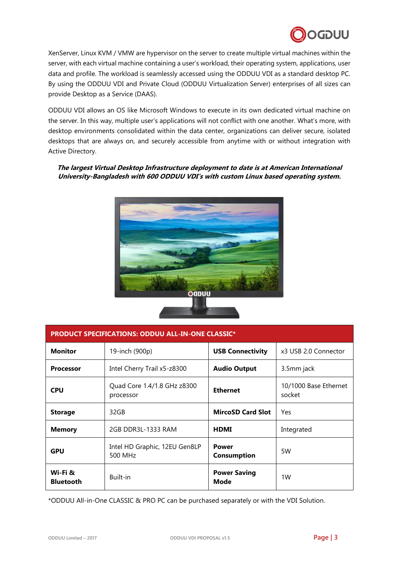

XenServer, Linux KVM / VMW are hypervisor on the server to create multiple virtual machines within the server, with each virtual machine containing a user's workload, their operating system, applications, user data and profile. The workload is seamlessly accessed using the ODDUU VDI as a standard desktop PC. By using the ODDUU VDI and Private Cloud (ODDUU Virtualization Server) enterprises of all sizes can provide Desktop as a Service (DAAS).

ODDUU VDI allows an OS like Microsoft Windows to execute in its own dedicated virtual machine on the server. In this way, multiple user's applications will not conflict with one another. What's more, with desktop environments consolidated within the data center, organizations can deliver secure, isolated desktops that are always on, and securely accessible from anytime with or without integration with Active Directory.

### **The largest Virtual Desktop Infrastructure deployment to date is at American International University-Bangladesh with 600 ODDUU VDI's with custom Linux based operating system.**



| <b>PRODUCT SPECIFICATIONS: ODDUU ALL-IN-ONE CLASSIC*</b> |                                          |                                    |                                 |  |  |
|----------------------------------------------------------|------------------------------------------|------------------------------------|---------------------------------|--|--|
| <b>Monitor</b>                                           | 19-inch (900p)                           | <b>USB Connectivity</b>            | x3 USB 2.0 Connector            |  |  |
| <b>Processor</b>                                         | Intel Cherry Trail x5-z8300              | <b>Audio Output</b>                | 3.5mm jack                      |  |  |
| <b>CPU</b>                                               | Quad Core 1.4/1.8 GHz z8300<br>processor | <b>Ethernet</b>                    | 10/1000 Base Ethernet<br>socket |  |  |
| <b>Storage</b>                                           | 32GB                                     | <b>MircoSD Card Slot</b>           | Yes                             |  |  |
| <b>Memory</b>                                            | 2GB DDR3L-1333 RAM                       | <b>HDMI</b>                        | Integrated                      |  |  |
| <b>GPU</b>                                               | Intel HD Graphic, 12EU Gen8LP<br>500 MHz | <b>Power</b><br><b>Consumption</b> | 5W                              |  |  |
| Wi-Fi &<br><b>Bluetooth</b>                              | Built-in                                 | <b>Power Saving</b><br><b>Mode</b> | 1W                              |  |  |

\*ODDUU All-in-One CLASSIC & PRO PC can be purchased separately or with the VDI Solution.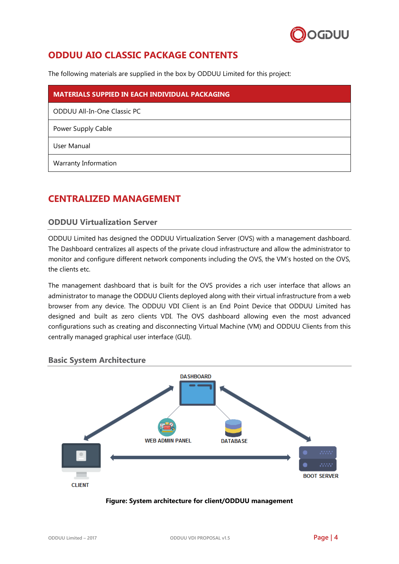

# <span id="page-6-0"></span>**ODDUU AIO CLASSIC PACKAGE CONTENTS**

The following materials are supplied in the box by ODDUU Limited for this project:

| <b>MATERIALS SUPPIED IN EACH INDIVIDUAL PACKAGING</b> |
|-------------------------------------------------------|
| ODDUU All-In-One Classic PC                           |
| Power Supply Cable                                    |
| User Manual                                           |
| Warranty Information                                  |

# <span id="page-6-1"></span>**CENTRALIZED MANAGEMENT**

# <span id="page-6-2"></span>**ODDUU Virtualization Server**

ODDUU Limited has designed the ODDUU Virtualization Server (OVS) with a management dashboard. The Dashboard centralizes all aspects of the private cloud infrastructure and allow the administrator to monitor and configure different network components including the OVS, the VM's hosted on the OVS, the clients etc.

The management dashboard that is built for the OVS provides a rich user interface that allows an administrator to manage the ODDUU Clients deployed along with their virtual infrastructure from a web browser from any device. The ODDUU VDI Client is an End Point Device that ODDUU Limited has designed and built as zero clients VDI. The OVS dashboard allowing even the most advanced configurations such as creating and disconnecting Virtual Machine (VM) and ODDUU Clients from this centrally managed graphical user interface (GUI).

<span id="page-6-3"></span>



#### **Figure: System architecture for client/ODDUU management**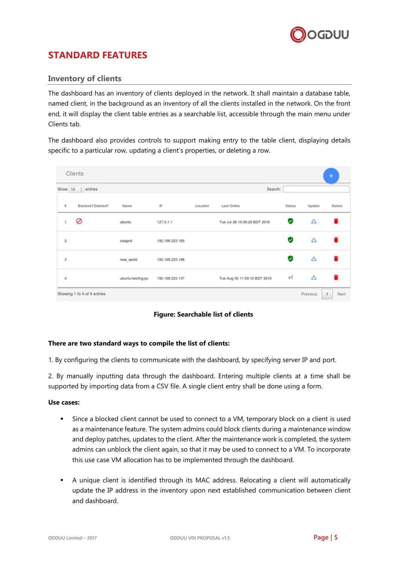

# <span id="page-7-0"></span>**STANDARD FEATURES**

# <span id="page-7-1"></span>**Inventory of clients**

The dashboard has an inventory of clients deployed in the network. It shall maintain a database table, named client, in the background as an inventory of all the clients installed in the network. On the front end, it will display the client table entries as a searchable list, accessible through the main menu under Clients tab.

The dashboard also provides controls to support making entry to the table client, displaying details specific to a particular row, updating a client's properties, or deleting a row.

|                                                                                                                    | Show 10 : entries |                   |                 |          | Search:                      |        |          |        |
|--------------------------------------------------------------------------------------------------------------------|-------------------|-------------------|-----------------|----------|------------------------------|--------|----------|--------|
| $\pi$                                                                                                              | Blocked?/Deleted? | Name              | IP              | Location | Last Online                  | Status | Update   | Delete |
|                                                                                                                    | 0                 | ubuntu            | 127.0.1.1       |          | Tue Jul 26 15:56:29 BDT 2016 | Ø      | Δ        |        |
| $\hat{z}$                                                                                                          |                   | swapnil           | 192.168.223.189 |          |                              | Ø      | Δ        | n      |
| $\mathfrak{I}% _{T}=\mathfrak{I}_{T}\!\left( a,b\right) ,\qquad \mathfrak{I}_{T}=0\text{, }T\!\left( a,b\right) ,$ |                   | new_world         | 192.168.223.188 |          |                              | ◡      | $\Delta$ | 盲      |
| 4                                                                                                                  |                   | ubuntu-testing-po | 192.168.223.137 |          | Tue Aug 02 11:59:12 BDT 2016 | $+1$   | Δ        |        |

**Figure: Searchable list of clients**

#### **There are two standard ways to compile the list of clients:**

1. By configuring the clients to communicate with the dashboard, by specifying server IP and port.

2. By manually inputting data through the dashboard. Entering multiple clients at a time shall be supported by importing data from a CSV file. A single client entry shall be done using a form.

#### **Use cases:**

- Since a blocked client cannot be used to connect to a VM, temporary block on a client is used as a maintenance feature. The system admins could block clients during a maintenance window and deploy patches, updates to the client. After the maintenance work is completed, the system admins can unblock the client again, so that it may be used to connect to a VM. To incorporate this use case VM allocation has to be implemented through the dashboard.
- A unique client is identified through its MAC address. Relocating a client will automatically update the IP address in the inventory upon next established communication between client and dashboard.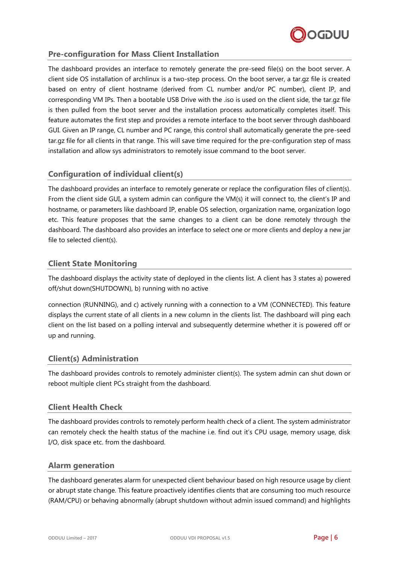

# <span id="page-8-0"></span>**Pre-configuration for Mass Client Installation**

The dashboard provides an interface to remotely generate the pre-seed file(s) on the boot server. A client side OS installation of archlinux is a two-step process. On the boot server, a tar.gz file is created based on entry of client hostname (derived from CL number and/or PC number), client IP, and corresponding VM IPs. Then a bootable USB Drive with the .iso is used on the client side, the tar.gz file is then pulled from the boot server and the installation process automatically completes itself. This feature automates the first step and provides a remote interface to the boot server through dashboard GUI. Given an IP range, CL number and PC range, this control shall automatically generate the pre-seed tar.gz file for all clients in that range. This will save time required for the pre-configuration step of mass installation and allow sys administrators to remotely issue command to the boot server.

# <span id="page-8-1"></span>**Configuration of individual client(s)**

The dashboard provides an interface to remotely generate or replace the configuration files of client(s). From the client side GUI, a system admin can configure the VM(s) it will connect to, the client's IP and hostname, or parameters like dashboard IP, enable OS selection, organization name, organization logo etc. This feature proposes that the same changes to a client can be done remotely through the dashboard. The dashboard also provides an interface to select one or more clients and deploy a new jar file to selected client(s).

# <span id="page-8-2"></span>**Client State Monitoring**

The dashboard displays the activity state of deployed in the clients list. A client has 3 states a) powered off/shut down(SHUTDOWN), b) running with no active

connection (RUNNING), and c) actively running with a connection to a VM (CONNECTED). This feature displays the current state of all clients in a new column in the clients list. The dashboard will ping each client on the list based on a polling interval and subsequently determine whether it is powered off or up and running.

# <span id="page-8-3"></span>**Client(s) Administration**

The dashboard provides controls to remotely administer client(s). The system admin can shut down or reboot multiple client PCs straight from the dashboard.

# <span id="page-8-4"></span>**Client Health Check**

The dashboard provides controls to remotely perform health check of a client. The system administrator can remotely check the health status of the machine i.e. find out it's CPU usage, memory usage, disk I/O, disk space etc. from the dashboard.

#### <span id="page-8-5"></span>**Alarm generation**

The dashboard generates alarm for unexpected client behaviour based on high resource usage by client or abrupt state change. This feature proactively identifies clients that are consuming too much resource (RAM/CPU) or behaving abnormally (abrupt shutdown without admin issued command) and highlights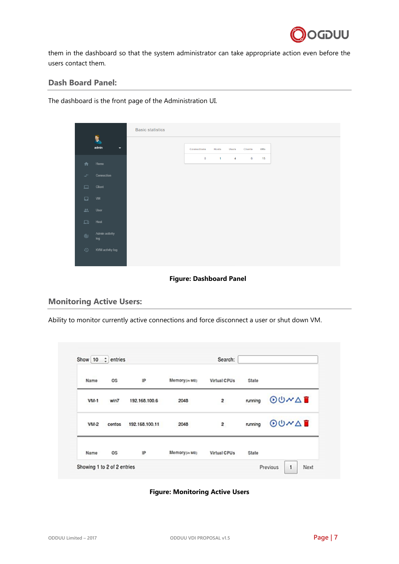

them in the dashboard so that the system administrator can take appropriate action even before the users contact them.

# **Dash Board Panel:**

The dashboard is the front page of the Administration UI.

|                |                       | <b>Basic statistics</b> |              |              |                |                 |            |
|----------------|-----------------------|-------------------------|--------------|--------------|----------------|-----------------|------------|
|                | Þ                     |                         |              |              |                |                 |            |
|                | admin<br>▼            |                         | Connections  | Hosts        | Users          | <b>Clients</b>  | <b>VMs</b> |
| 合              | Home                  |                         | $\mathbf{0}$ | $\mathbf{1}$ | $\overline{4}$ | $6\phantom{.0}$ | 15         |
| $\rightarrow$  | Connection            |                         |              |              |                |                 |            |
| ▭              | Client                |                         |              |              |                |                 |            |
| $\Box$         | VM                    |                         |              |              |                |                 |            |
| 盐              | User                  |                         |              |              |                |                 |            |
| ᆷ              | Host                  |                         |              |              |                |                 |            |
| $^{\circledR}$ | Admin activity<br>log |                         |              |              |                |                 |            |
| $\odot$        | KVM activity log      |                         |              |              |                |                 |            |

#### **Figure: Dashboard Panel**

# **Monitoring Active Users:**

Ability to monitor currently active connections and force disconnect a user or shut down VM.

|                             | Show 10 : entries |                |                 | Search:        |         |          |             |      |
|-----------------------------|-------------------|----------------|-----------------|----------------|---------|----------|-------------|------|
| Name                        | ŌŜ                | 1P             | Memory (n MB)   | Virtual CPUs   | State   |          |             |      |
| VM-1                        | win7              | 192.168.100.6  | 2048            | 2              | running |          | $00M\Delta$ |      |
| VM-2                        | centos            | 192.168.100.11 | 2048            | $\overline{2}$ | running |          | $00M\Delta$ |      |
| Name                        | OS.               | P              | Memoryjin Mills | Virtual CPUs   | State   |          |             |      |
| Showing 1 to 2 of 2 entries |                   |                |                 |                |         | Previous | 1           | Next |

#### **Figure: Monitoring Active Users**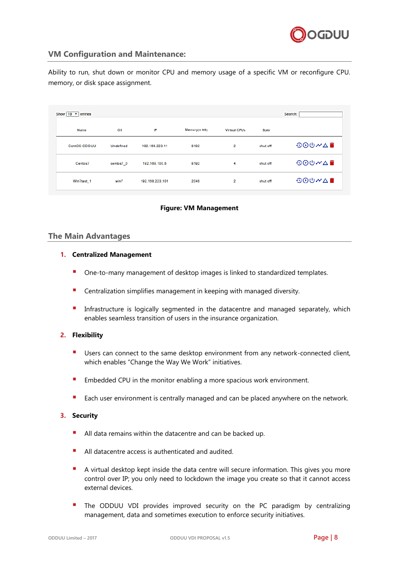

# **VM Configuration and Maintenance:**

Ability to run, shut down or monitor CPU and memory usage of a specific VM or reconfigure CPU. memory, or disk space assignment.

| Show $10 \times$ entries |           |                 |               |                     |          | Search:                                                                                                                                                                                                                                                           |
|--------------------------|-----------|-----------------|---------------|---------------------|----------|-------------------------------------------------------------------------------------------------------------------------------------------------------------------------------------------------------------------------------------------------------------------|
| Name                     | <b>OS</b> | IP              | Memory(In MB) | <b>Virtual CPUs</b> | State    |                                                                                                                                                                                                                                                                   |
| CentOS-ODDUU             | Undefined | 192.168.223.11  | 8192          | $\overline{2}$      | shut off | <b>900〃△■</b>                                                                                                                                                                                                                                                     |
| Centos7                  | centos7_0 | 192.168.100.5   | 8192          | 4                   | shut off | $\begin{array}{ll}\n\textcircled{\tiny{0}} & \textcircled{\tiny{0}} & \textcircled{\tiny{0}} & \textcircled{\tiny{0}} \\ \textcircled{\tiny{0}} & \textcircled{\tiny{0}} & \textcircled{\tiny{0}} & \textcircled{\tiny{0}} & \textcircled{\tiny{0}}\n\end{array}$ |
| Win7test 1               | win7      | 192.168.223.101 | 2048          | $\overline{2}$      | shut off | 900~△■                                                                                                                                                                                                                                                            |

#### **Figure: VM Management**

### <span id="page-10-0"></span>**The Main Advantages**

#### **1. Centralized Management**

- One-to-many management of desktop images is linked to standardized templates.
- Centralization simplifies management in keeping with managed diversity.
- **Infrastructure is logically segmented in the datacentre and managed separately, which** enables seamless transition of users in the insurance organization.

#### **2. Flexibility**

- **Users can connect to the same desktop environment from any network-connected client,** which enables "Change the Way We Work" initiatives.
- **Embedded CPU** in the monitor enabling a more spacious work environment.
- Each user environment is centrally managed and can be placed anywhere on the network.

#### **3. Security**

- All data remains within the datacentre and can be backed up.
- All datacentre access is authenticated and audited.
- A virtual desktop kept inside the data centre will secure information. This gives you more control over IP; you only need to lockdown the image you create so that it cannot access external devices.
- The ODDUU VDI provides improved security on the PC paradigm by centralizing management, data and sometimes execution to enforce security initiatives.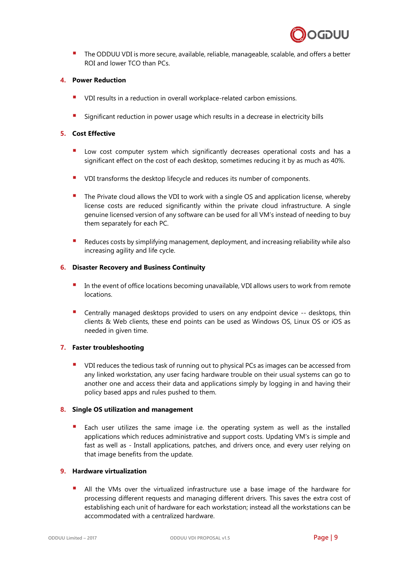

**The ODDUU VDI** is more secure, available, reliable, manageable, scalable, and offers a better ROI and lower TCO than PCs.

#### **4. Power Reduction**

- VDI results in a reduction in overall workplace-related carbon emissions.
- Significant reduction in power usage which results in a decrease in electricity bills

#### **5. Cost Effective**

- Low cost computer system which significantly decreases operational costs and has a significant effect on the cost of each desktop, sometimes reducing it by as much as 40%.
- **•** VDI transforms the desktop lifecycle and reduces its number of components.
- The Private cloud allows the VDI to work with a single OS and application license, whereby license costs are reduced significantly within the private cloud infrastructure. A single genuine licensed version of any software can be used for all VM's instead of needing to buy them separately for each PC.
- **Reduces costs by simplifying management, deployment, and increasing reliability while also** increasing agility and life cycle.

#### **6. Disaster Recovery and Business Continuity**

- In the event of office locations becoming unavailable, VDI allows users to work from remote locations.
- Centrally managed desktops provided to users on any endpoint device -- desktops, thin clients & Web clients, these end points can be used as Windows OS, Linux OS or iOS as needed in given time.

#### **7. Faster troubleshooting**

 VDI reduces the tedious task of running out to physical PCs as images can be accessed from any linked workstation, any user facing hardware trouble on their usual systems can go to another one and access their data and applications simply by logging in and having their policy based apps and rules pushed to them.

#### **8. Single OS utilization and management**

 Each user utilizes the same image i.e. the operating system as well as the installed applications which reduces administrative and support costs. Updating VM's is simple and fast as well as - Install applications, patches, and drivers once, and every user relying on that image benefits from the update.

#### **9. Hardware virtualization**

 All the VMs over the virtualized infrastructure use a base image of the hardware for processing different requests and managing different drivers. This saves the extra cost of establishing each unit of hardware for each workstation; instead all the workstations can be accommodated with a centralized hardware.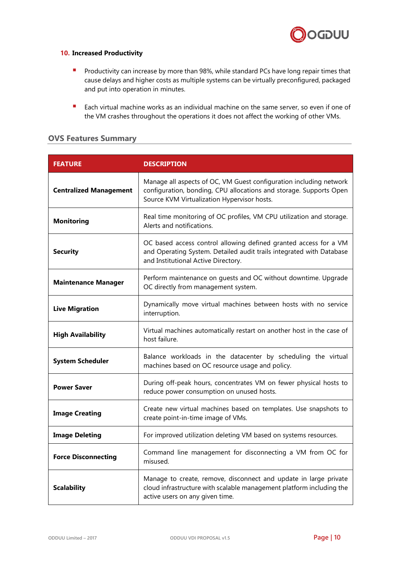

#### **10. Increased Productivity**

- **Productivity can increase by more than 98%, while standard PCs have long repair times that** cause delays and higher costs as multiple systems can be virtually preconfigured, packaged and put into operation in minutes.
- **Each virtual machine works as an individual machine on the same server, so even if one of** the VM crashes throughout the operations it does not affect the working of other VMs.

### <span id="page-12-0"></span>**OVS Features Summary**

| <b>FEATURE</b>                | <b>DESCRIPTION</b>                                                                                                                                                                      |
|-------------------------------|-----------------------------------------------------------------------------------------------------------------------------------------------------------------------------------------|
| <b>Centralized Management</b> | Manage all aspects of OC, VM Guest configuration including network<br>configuration, bonding, CPU allocations and storage. Supports Open<br>Source KVM Virtualization Hypervisor hosts. |
| <b>Monitoring</b>             | Real time monitoring of OC profiles, VM CPU utilization and storage.<br>Alerts and notifications.                                                                                       |
| <b>Security</b>               | OC based access control allowing defined granted access for a VM<br>and Operating System. Detailed audit trails integrated with Database<br>and Institutional Active Directory.         |
| <b>Maintenance Manager</b>    | Perform maintenance on quests and OC without downtime. Upgrade<br>OC directly from management system.                                                                                   |
| <b>Live Migration</b>         | Dynamically move virtual machines between hosts with no service<br>interruption.                                                                                                        |
| <b>High Availability</b>      | Virtual machines automatically restart on another host in the case of<br>host failure.                                                                                                  |
| <b>System Scheduler</b>       | Balance workloads in the datacenter by scheduling the virtual<br>machines based on OC resource usage and policy.                                                                        |
| <b>Power Saver</b>            | During off-peak hours, concentrates VM on fewer physical hosts to<br>reduce power consumption on unused hosts.                                                                          |
| <b>Image Creating</b>         | Create new virtual machines based on templates. Use snapshots to<br>create point-in-time image of VMs.                                                                                  |
| <b>Image Deleting</b>         | For improved utilization deleting VM based on systems resources.                                                                                                                        |
| <b>Force Disconnecting</b>    | Command line management for disconnecting a VM from OC for<br>misused.                                                                                                                  |
| <b>Scalability</b>            | Manage to create, remove, disconnect and update in large private<br>cloud infrastructure with scalable management platform including the<br>active users on any given time.             |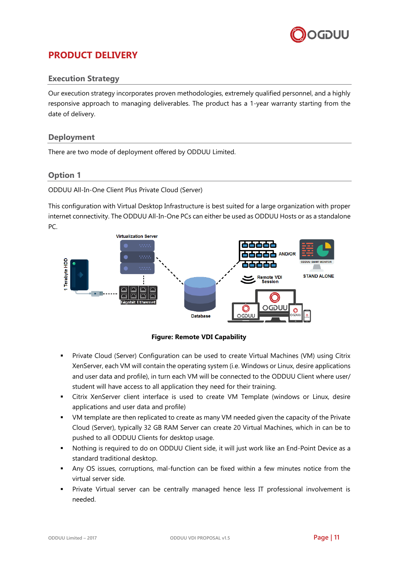

# <span id="page-13-0"></span>**PRODUCT DELIVERY**

# <span id="page-13-1"></span>**Execution Strategy**

Our execution strategy incorporates proven methodologies, extremely qualified personnel, and a highly responsive approach to managing deliverables. The product has a 1-year warranty starting from the date of delivery.

# <span id="page-13-2"></span>**Deployment**

There are two mode of deployment offered by ODDUU Limited.

# <span id="page-13-3"></span>**Option 1**

ODDUU All-In-One Client Plus Private Cloud (Server)

This configuration with Virtual Desktop Infrastructure is best suited for a large organization with proper internet connectivity. The ODDUU All-In-One PCs can either be used as ODDUU Hosts or as a standalone PC.



#### **Figure: Remote VDI Capability**

- Private Cloud (Server) Configuration can be used to create Virtual Machines (VM) using Citrix XenServer, each VM will contain the operating system (i.e. Windows or Linux, desire applications and user data and profile), in turn each VM will be connected to the ODDUU Client where user/ student will have access to all application they need for their training.
- Citrix XenServer client interface is used to create VM Template (windows or Linux, desire applications and user data and profile)
- VM template are then replicated to create as many VM needed given the capacity of the Private Cloud (Server), typically 32 GB RAM Server can create 20 Virtual Machines, which in can be to pushed to all ODDUU Clients for desktop usage.
- Nothing is required to do on ODDUU Client side, it will just work like an End-Point Device as a standard traditional desktop.
- Any OS issues, corruptions, mal-function can be fixed within a few minutes notice from the virtual server side.
- Private Virtual server can be centrally managed hence less IT professional involvement is needed.